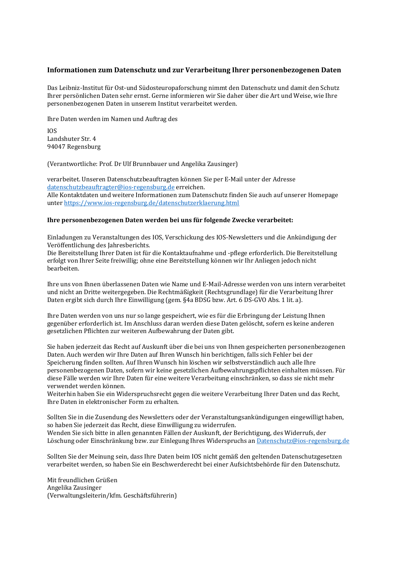## **Informationen zum Datenschutz und zur Verarbeitung Ihrer personenbezogenen Daten**

Das Leibniz-Institut für Ost-und Südosteuropaforschung nimmt den Datenschutz und damit den Schutz Ihrer persönlichen Daten sehr ernst. Gerne informieren wir Sie daher über die Art und Weise, wie Ihre personenbezogenen Daten in unserem Institut verarbeitet werden.

Ihre Daten werden im Namen und Auftrag des

IOS Landshuter Str. 4 94047 Regensburg

(Verantwortliche: Prof. Dr Ulf Brunnbauer und Angelika Zausinger)

verarbeitet. Unseren Datenschutzbeauftragten können Sie per E-Mail unter der Adresse [datenschutzbeauftragter@ios-regensburg.de](mailto:datenschutzbeauftragter@ios-regensburg.de) erreichen. Alle Kontaktdaten und weitere Informationen zum Datenschutz finden Sie auch auf unserer Homepage unter <https://www.ios-regensburg.de/datenschutzerklaerung.html>

## **Ihre personenbezogenen Daten werden bei uns für folgende Zwecke verarbeitet:**

Einladungen zu Veranstaltungen des IOS, Verschickung des IOS-Newsletters und die Ankündigung der Veröffentlichung des Jahresberichts.

Die Bereitstellung Ihrer Daten ist für die Kontaktaufnahme und -pflege erforderlich. Die Bereitstellung erfolgt von Ihrer Seite freiwillig; ohne eine Bereitstellung können wir Ihr Anliegen jedoch nicht bearbeiten.

Ihre uns von Ihnen überlassenen Daten wie Name und E-Mail-Adresse werden von uns intern verarbeitet und nicht an Dritte weitergegeben. Die Rechtmäßigkeit (Rechtsgrundlage) für die Verarbeitung Ihrer Daten ergibt sich durch Ihre Einwilligung (gem. §4a BDSG bzw. Art. 6 DS-GVO Abs. 1 lit. a).

Ihre Daten werden von uns nur so lange gespeichert, wie es für die Erbringung der Leistung Ihnen gegenüber erforderlich ist. Im Anschluss daran werden diese Daten gelöscht, sofern es keine anderen gesetzlichen Pflichten zur weiteren Aufbewahrung der Daten gibt.

Sie haben jederzeit das Recht auf Auskunft über die bei uns von Ihnen gespeicherten personenbezogenen Daten. Auch werden wir Ihre Daten auf Ihren Wunsch hin berichtigen, falls sich Fehler bei der Speicherung finden sollten. Auf Ihren Wunsch hin löschen wir selbstverständlich auch alle Ihre personenbezogenen Daten, sofern wir keine gesetzlichen Aufbewahrungspflichten einhalten müssen. Für diese Fälle werden wir Ihre Daten für eine weitere Verarbeitung einschränken, so dass sie nicht mehr verwendet werden können.

Weiterhin haben Sie ein Widerspruchsrecht gegen die weitere Verarbeitung Ihrer Daten und das Recht, Ihre Daten in elektronischer Form zu erhalten.

Sollten Sie in die Zusendung des Newsletters oder der Veranstaltungsankündigungen eingewilligt haben, so haben Sie jederzeit das Recht, diese Einwilligung zu widerrufen.

Wenden Sie sich bitte in allen genannten Fällen der Auskunft, der Berichtigung, des Widerrufs, der Löschung oder Einschränkung bzw. zur Einlegung Ihres Widerspruchs a[n Datenschutz@ios-regensburg.de](mailto:Datenschutz@ios-regensburg.de)

Sollten Sie der Meinung sein, dass Ihre Daten beim IOS nicht gemäß den geltenden Datenschutzgesetzen verarbeitet werden, so haben Sie ein Beschwerderecht bei einer Aufsichtsbehörde für den Datenschutz.

Mit freundlichen Grüßen Angelika Zausinger (Verwaltungsleiterin/kfm. Geschäftsführerin)